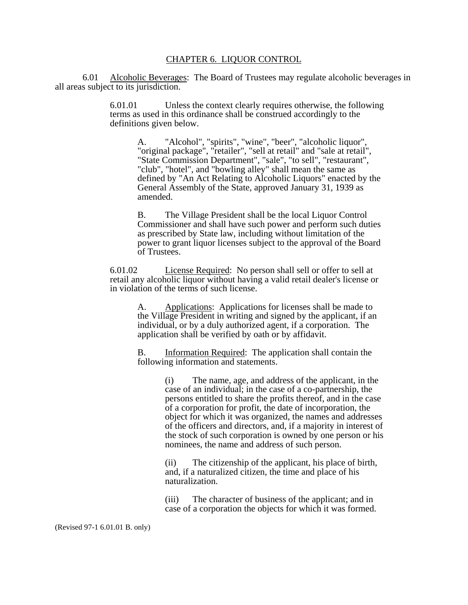## CHAPTER 6. LIQUOR CONTROL

 6.01 Alcoholic Beverages: The Board of Trustees may regulate alcoholic beverages in all areas subject to its jurisdiction.

> 6.01.01 Unless the context clearly requires otherwise, the following terms as used in this ordinance shall be construed accordingly to the definitions given below.

A. "Alcohol", "spirits", "wine", "beer", "alcoholic liquor", "original package", "retailer", "sell at retail" and "sale at retail", "State Commission Department", "sale", "to sell", "restaurant", "club", "hotel", and "bowling alley" shall mean the same as defined by "An Act Relating to Alcoholic Liquors" enacted by the General Assembly of the State, approved January 31, 1939 as amended.

B. The Village President shall be the local Liquor Control Commissioner and shall have such power and perform such duties as prescribed by State law, including without limitation of the power to grant liquor licenses subject to the approval of the Board of Trustees.

6.01.02 License Required: No person shall sell or offer to sell at retail any alcoholic liquor without having a valid retail dealer's license or in violation of the terms of such license.

> A. Applications: Applications for licenses shall be made to the Village President in writing and signed by the applicant, if an individual, or by a duly authorized agent, if a corporation. The application shall be verified by oath or by affidavit.

B. Information Required: The application shall contain the following information and statements.

> (i) The name, age, and address of the applicant, in the case of an individual; in the case of a co-partnership, the persons entitled to share the profits thereof, and in the case of a corporation for profit, the date of incorporation, the object for which it was organized, the names and addresses of the officers and directors, and, if a majority in interest of the stock of such corporation is owned by one person or his nominees, the name and address of such person.

(ii) The citizenship of the applicant, his place of birth, and, if a naturalized citizen, the time and place of his naturalization.

(iii) The character of business of the applicant; and in case of a corporation the objects for which it was formed.

(Revised 97-1 6.01.01 B. only)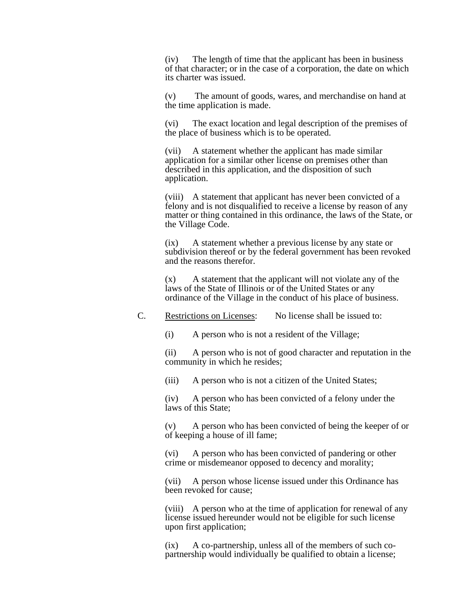(iv) The length of time that the applicant has been in business of that character; or in the case of a corporation, the date on which its charter was issued.

(v) The amount of goods, wares, and merchandise on hand at the time application is made.

(vi) The exact location and legal description of the premises of the place of business which is to be operated.

(vii) A statement whether the applicant has made similar application for a similar other license on premises other than described in this application, and the disposition of such application.

(viii) A statement that applicant has never been convicted of a felony and is not disqualified to receive a license by reason of any matter or thing contained in this ordinance, the laws of the State, or the Village Code.

(ix) A statement whether a previous license by any state or subdivision thereof or by the federal government has been revoked and the reasons therefor.

(x) A statement that the applicant will not violate any of the laws of the State of Illinois or of the United States or any ordinance of the Village in the conduct of his place of business.

## C. Restrictions on Licenses: No license shall be issued to:

(i) A person who is not a resident of the Village;

(ii) A person who is not of good character and reputation in the community in which he resides;

(iii) A person who is not a citizen of the United States;

(iv) A person who has been convicted of a felony under the laws of this State;

(v) A person who has been convicted of being the keeper of or of keeping a house of ill fame;

(vi) A person who has been convicted of pandering or other crime or misdemeanor opposed to decency and morality;

(vii) A person whose license issued under this Ordinance has been revoked for cause;

(viii) A person who at the time of application for renewal of any license issued hereunder would not be eligible for such license upon first application;

(ix) A co-partnership, unless all of the members of such copartnership would individually be qualified to obtain a license;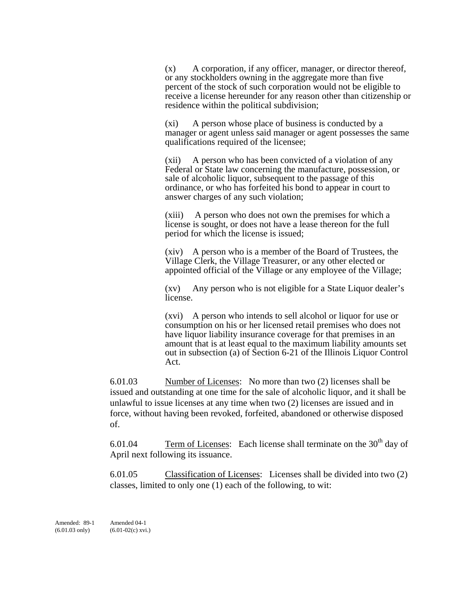(x) A corporation, if any officer, manager, or director thereof, or any stockholders owning in the aggregate more than five percent of the stock of such corporation would not be eligible to receive a license hereunder for any reason other than citizenship or residence within the political subdivision;

(xi) A person whose place of business is conducted by a manager or agent unless said manager or agent possesses the same qualifications required of the licensee;

(xii) A person who has been convicted of a violation of any Federal or State law concerning the manufacture, possession, or sale of alcoholic liquor, subsequent to the passage of this ordinance, or who has forfeited his bond to appear in court to answer charges of any such violation;

(xiii) A person who does not own the premises for which a license is sought, or does not have a lease thereon for the full period for which the license is issued;

(xiv) A person who is a member of the Board of Trustees, the Village Clerk, the Village Treasurer, or any other elected or appointed official of the Village or any employee of the Village;

(xv) Any person who is not eligible for a State Liquor dealer's license.

(xvi) A person who intends to sell alcohol or liquor for use or consumption on his or her licensed retail premises who does not have liquor liability insurance coverage for that premises in an amount that is at least equal to the maximum liability amounts set out in subsection (a) of Section 6-21 of the Illinois Liquor Control Act.

6.01.03 Number of Licenses: No more than two (2) licenses shall be issued and outstanding at one time for the sale of alcoholic liquor, and it shall be unlawful to issue licenses at any time when two (2) licenses are issued and in force, without having been revoked, forfeited, abandoned or otherwise disposed of.

6.01.04 Term of Licenses: Each license shall terminate on the  $30<sup>th</sup>$  day of April next following its issuance.

6.01.05 Classification of Licenses: Licenses shall be divided into two (2) classes, limited to only one (1) each of the following, to wit: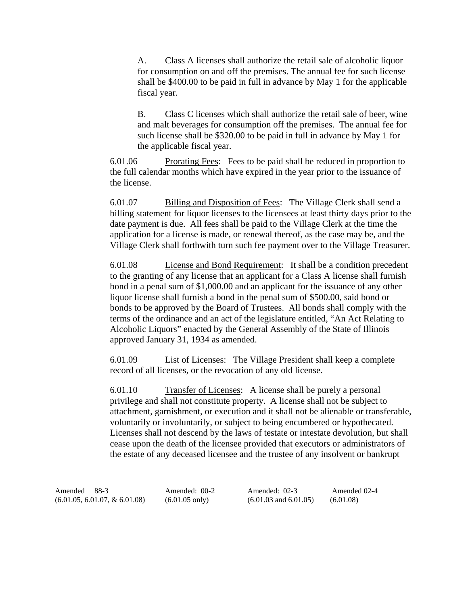A. Class A licenses shall authorize the retail sale of alcoholic liquor for consumption on and off the premises. The annual fee for such license shall be \$400.00 to be paid in full in advance by May 1 for the applicable fiscal year.

B. Class C licenses which shall authorize the retail sale of beer, wine and malt beverages for consumption off the premises. The annual fee for such license shall be \$320.00 to be paid in full in advance by May 1 for the applicable fiscal year.

6.01.06 Prorating Fees: Fees to be paid shall be reduced in proportion to the full calendar months which have expired in the year prior to the issuance of the license.

6.01.07 Billing and Disposition of Fees: The Village Clerk shall send a billing statement for liquor licenses to the licensees at least thirty days prior to the date payment is due. All fees shall be paid to the Village Clerk at the time the application for a license is made, or renewal thereof, as the case may be, and the Village Clerk shall forthwith turn such fee payment over to the Village Treasurer.

6.01.08 License and Bond Requirement: It shall be a condition precedent to the granting of any license that an applicant for a Class A license shall furnish bond in a penal sum of \$1,000.00 and an applicant for the issuance of any other liquor license shall furnish a bond in the penal sum of \$500.00, said bond or bonds to be approved by the Board of Trustees. All bonds shall comply with the terms of the ordinance and an act of the legislature entitled, "An Act Relating to Alcoholic Liquors" enacted by the General Assembly of the State of Illinois approved January 31, 1934 as amended.

6.01.09 List of Licenses: The Village President shall keep a complete record of all licenses, or the revocation of any old license.

6.01.10 Transfer of Licenses: A license shall be purely a personal privilege and shall not constitute property. A license shall not be subject to attachment, garnishment, or execution and it shall not be alienable or transferable, voluntarily or involuntarily, or subject to being encumbered or hypothecated. Licenses shall not descend by the laws of testate or intestate devolution, but shall cease upon the death of the licensee provided that executors or administrators of the estate of any deceased licensee and the trustee of any insolvent or bankrupt

Amended 88-3 Amended: 00-2 Amended: 02-3 Amended 02-4 (6.01.05, 6.01.07, & 6.01.08) (6.01.05 only) (6.01.03 and 6.01.05) (6.01.08)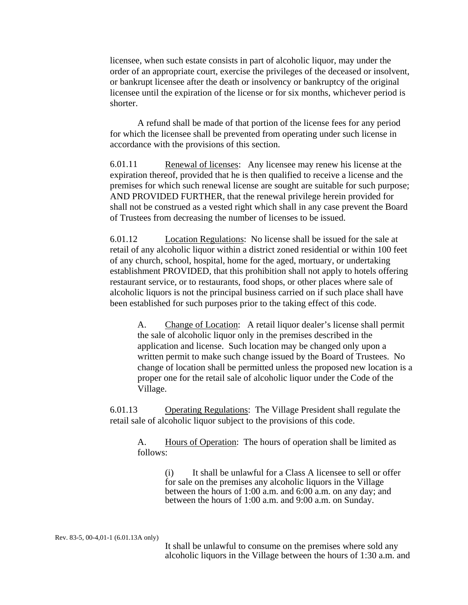licensee, when such estate consists in part of alcoholic liquor, may under the order of an appropriate court, exercise the privileges of the deceased or insolvent, or bankrupt licensee after the death or insolvency or bankruptcy of the original licensee until the expiration of the license or for six months, whichever period is shorter.

 A refund shall be made of that portion of the license fees for any period for which the licensee shall be prevented from operating under such license in accordance with the provisions of this section.

6.01.11 Renewal of licenses: Any licensee may renew his license at the expiration thereof, provided that he is then qualified to receive a license and the premises for which such renewal license are sought are suitable for such purpose; AND PROVIDED FURTHER, that the renewal privilege herein provided for shall not be construed as a vested right which shall in any case prevent the Board of Trustees from decreasing the number of licenses to be issued.

6.01.12 Location Regulations: No license shall be issued for the sale at retail of any alcoholic liquor within a district zoned residential or within 100 feet of any church, school, hospital, home for the aged, mortuary, or undertaking establishment PROVIDED, that this prohibition shall not apply to hotels offering restaurant service, or to restaurants, food shops, or other places where sale of alcoholic liquors is not the principal business carried on if such place shall have been established for such purposes prior to the taking effect of this code.

A. Change of Location: A retail liquor dealer's license shall permit the sale of alcoholic liquor only in the premises described in the application and license. Such location may be changed only upon a written permit to make such change issued by the Board of Trustees. No change of location shall be permitted unless the proposed new location is a proper one for the retail sale of alcoholic liquor under the Code of the Village.

6.01.13 Operating Regulations: The Village President shall regulate the retail sale of alcoholic liquor subject to the provisions of this code.

A. Hours of Operation: The hours of operation shall be limited as follows:

> (i) It shall be unlawful for a Class A licensee to sell or offer for sale on the premises any alcoholic liquors in the Village between the hours of 1:00 a.m. and 6:00 a.m. on any day; and between the hours of 1:00 a.m. and 9:00 a.m. on Sunday.

Rev. 83-5, 00-4,01-1 (6.01.13A only)

It shall be unlawful to consume on the premises where sold any alcoholic liquors in the Village between the hours of 1:30 a.m. and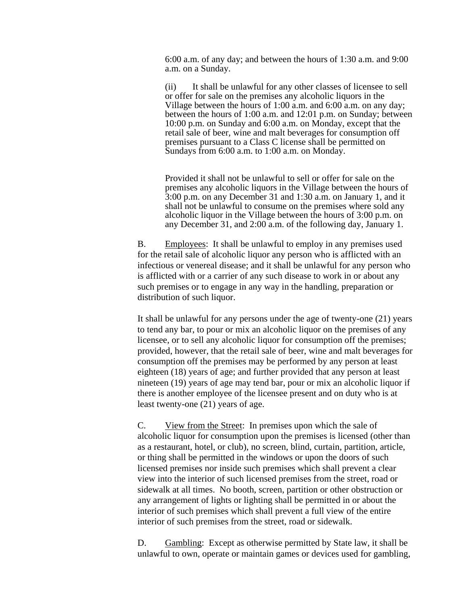6:00 a.m. of any day; and between the hours of 1:30 a.m. and 9:00 a.m. on a Sunday.

(ii) It shall be unlawful for any other classes of licensee to sell or offer for sale on the premises any alcoholic liquors in the Village between the hours of 1:00 a.m. and 6:00 a.m. on any day; between the hours of 1:00 a.m. and 12:01 p.m. on Sunday; between 10:00 p.m. on Sunday and 6:00 a.m. on Monday, except that the retail sale of beer, wine and malt beverages for consumption off premises pursuant to a Class C license shall be permitted on Sundays from 6:00 a.m. to 1:00 a.m. on Monday.

Provided it shall not be unlawful to sell or offer for sale on the premises any alcoholic liquors in the Village between the hours of 3:00 p.m. on any December 31 and 1:30 a.m. on January 1, and it shall not be unlawful to consume on the premises where sold any alcoholic liquor in the Village between the hours of 3:00 p.m. on any December 31, and 2:00 a.m. of the following day, January 1.

B. Employees: It shall be unlawful to employ in any premises used for the retail sale of alcoholic liquor any person who is afflicted with an infectious or venereal disease; and it shall be unlawful for any person who is afflicted with or a carrier of any such disease to work in or about any such premises or to engage in any way in the handling, preparation or distribution of such liquor.

It shall be unlawful for any persons under the age of twenty-one (21) years to tend any bar, to pour or mix an alcoholic liquor on the premises of any licensee, or to sell any alcoholic liquor for consumption off the premises; provided, however, that the retail sale of beer, wine and malt beverages for consumption off the premises may be performed by any person at least eighteen (18) years of age; and further provided that any person at least nineteen (19) years of age may tend bar, pour or mix an alcoholic liquor if there is another employee of the licensee present and on duty who is at least twenty-one (21) years of age.

C. View from the Street: In premises upon which the sale of alcoholic liquor for consumption upon the premises is licensed (other than as a restaurant, hotel, or club), no screen, blind, curtain, partition, article, or thing shall be permitted in the windows or upon the doors of such licensed premises nor inside such premises which shall prevent a clear view into the interior of such licensed premises from the street, road or sidewalk at all times. No booth, screen, partition or other obstruction or any arrangement of lights or lighting shall be permitted in or about the interior of such premises which shall prevent a full view of the entire interior of such premises from the street, road or sidewalk.

D. Gambling: Except as otherwise permitted by State law, it shall be unlawful to own, operate or maintain games or devices used for gambling,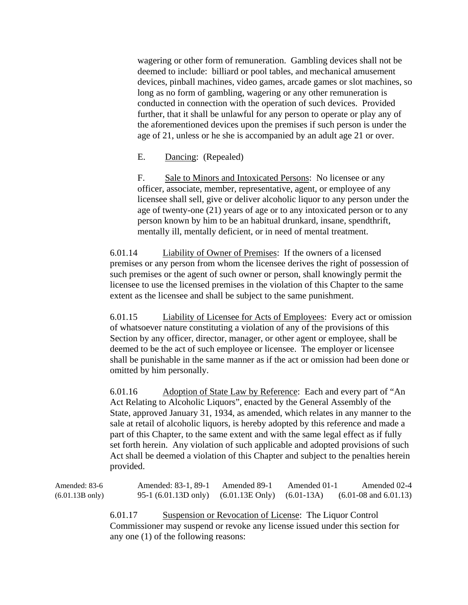wagering or other form of remuneration. Gambling devices shall not be deemed to include: billiard or pool tables, and mechanical amusement devices, pinball machines, video games, arcade games or slot machines, so long as no form of gambling, wagering or any other remuneration is conducted in connection with the operation of such devices. Provided further, that it shall be unlawful for any person to operate or play any of the aforementioned devices upon the premises if such person is under the age of 21, unless or he she is accompanied by an adult age 21 or over.

E. Dancing: (Repealed)

F. Sale to Minors and Intoxicated Persons: No licensee or any officer, associate, member, representative, agent, or employee of any licensee shall sell, give or deliver alcoholic liquor to any person under the age of twenty-one (21) years of age or to any intoxicated person or to any person known by him to be an habitual drunkard, insane, spendthrift, mentally ill, mentally deficient, or in need of mental treatment.

6.01.14 Liability of Owner of Premises: If the owners of a licensed premises or any person from whom the licensee derives the right of possession of such premises or the agent of such owner or person, shall knowingly permit the licensee to use the licensed premises in the violation of this Chapter to the same extent as the licensee and shall be subject to the same punishment.

6.01.15 Liability of Licensee for Acts of Employees: Every act or omission of whatsoever nature constituting a violation of any of the provisions of this Section by any officer, director, manager, or other agent or employee, shall be deemed to be the act of such employee or licensee. The employer or licensee shall be punishable in the same manner as if the act or omission had been done or omitted by him personally.

6.01.16 Adoption of State Law by Reference: Each and every part of "An Act Relating to Alcoholic Liquors", enacted by the General Assembly of the State, approved January 31, 1934, as amended, which relates in any manner to the sale at retail of alcoholic liquors, is hereby adopted by this reference and made a part of this Chapter, to the same extent and with the same legal effect as if fully set forth herein. Any violation of such applicable and adopted provisions of such Act shall be deemed a violation of this Chapter and subject to the penalties herein provided.

Amended: 83-6 Amended: 83-1, 89-1 Amended 89-1 Amended 01-1 Amended 02-4 (6.01.13B only) 95-1 (6.01.13D only) (6.01.13E Only) (6.01-13A) (6.01-08 and 6.01.13) 6.01.17 Suspension or Revocation of License: The Liquor Control Commissioner may suspend or revoke any license issued under this section for any one (1) of the following reasons: